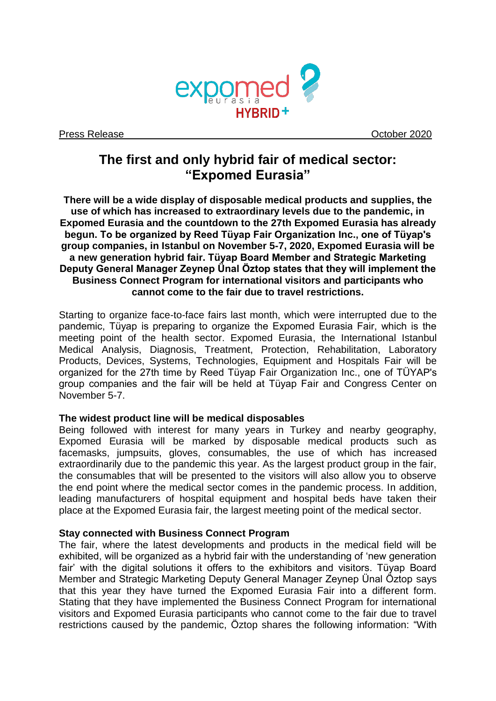

Press Release **October 2020** 

# **The first and only hybrid fair of medical sector: "Expomed Eurasia"**

**There will be a wide display of disposable medical products and supplies, the use of which has increased to extraordinary levels due to the pandemic, in Expomed Eurasia and the countdown to the 27th Expomed Eurasia has already begun. To be organized by Reed Tüyap Fair Organization Inc., one of Tüyap's group companies, in Istanbul on November 5-7, 2020, Expomed Eurasia will be a new generation hybrid fair. Tüyap Board Member and Strategic Marketing Deputy General Manager Zeynep Ünal Öztop states that they will implement the Business Connect Program for international visitors and participants who cannot come to the fair due to travel restrictions.**

Starting to organize face-to-face fairs last month, which were interrupted due to the pandemic, Tüyap is preparing to organize the Expomed Eurasia Fair, which is the meeting point of the health sector. Expomed Eurasia, the International Istanbul Medical Analysis, Diagnosis, Treatment, Protection, Rehabilitation, Laboratory Products, Devices, Systems, Technologies, Equipment and Hospitals Fair will be organized for the 27th time by Reed Tüyap Fair Organization Inc., one of TÜYAP's group companies and the fair will be held at Tüyap Fair and Congress Center on November 5-7.

# **The widest product line will be medical disposables**

Being followed with interest for many years in Turkey and nearby geography, Expomed Eurasia will be marked by disposable medical products such as facemasks, jumpsuits, gloves, consumables, the use of which has increased extraordinarily due to the pandemic this year. As the largest product group in the fair, the consumables that will be presented to the visitors will also allow you to observe the end point where the medical sector comes in the pandemic process. In addition, leading manufacturers of hospital equipment and hospital beds have taken their place at the Expomed Eurasia fair, the largest meeting point of the medical sector.

## **Stay connected with Business Connect Program**

The fair, where the latest developments and products in the medical field will be exhibited, will be organized as a hybrid fair with the understanding of 'new generation fair' with the digital solutions it offers to the exhibitors and visitors. Tüyap Board Member and Strategic Marketing Deputy General Manager Zeynep Ünal Öztop says that this year they have turned the Expomed Eurasia Fair into a different form. Stating that they have implemented the Business Connect Program for international visitors and Expomed Eurasia participants who cannot come to the fair due to travel restrictions caused by the pandemic, Öztop shares the following information: "With